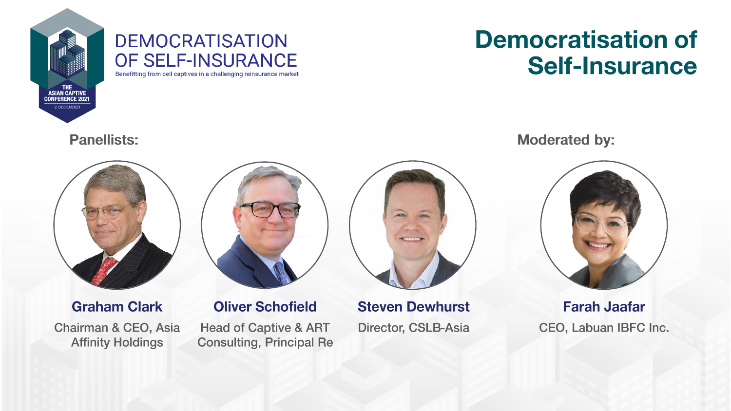

### **DEMOCRATISATION** OF SELF-INSURANCE

## **Democratisation of Self-Insurance**

Benefitting from cell captives in a challenging reinsurance market

#### **Panellists:**



**Graham Clark** Chairman & CEO, Asia **Affinity Holdings** 



**Oliver Schofield Head of Captive & ART Consulting, Principal Re**  **Steven Dewhurst** Director, CSLB-Asia **Moderated by:** 



**Farah Jaafar** CEO, Labuan IBFC Inc.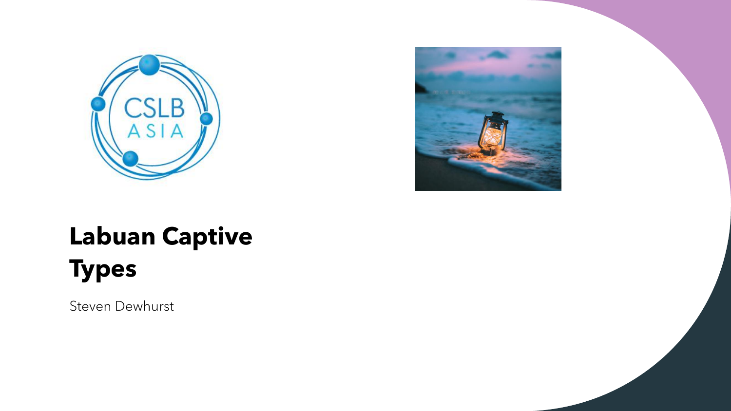



# **Labuan Captive Types**

Steven Dewhurst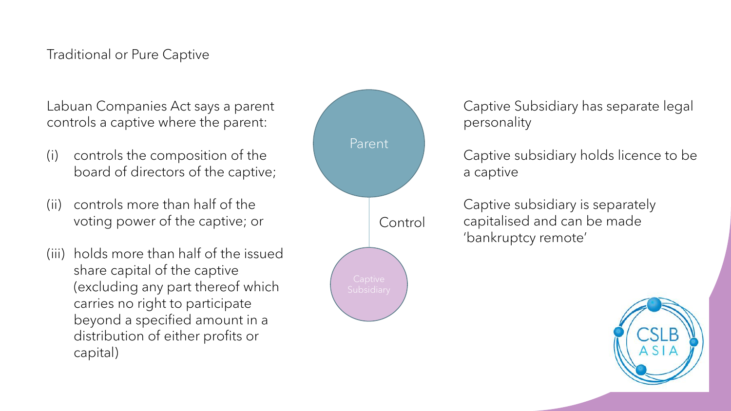#### Traditional or Pure Captive

Labuan Companies Act says a parent controls a captive where the parent:

- (i) controls the composition of the board of directors of the captive;
- (ii) controls more than half of the voting power of the captive; or
- (iii) holds more than half of the issued share capital of the captive (excluding any part thereof which carries no right to participate beyond a specified amount in a distribution of either profits or capital)



Captive Subsidiary has separate legal personality

Captive subsidiary holds licence to be a captive

Captive subsidiary is separately capitalised and can be made 'bankruptcy remote'

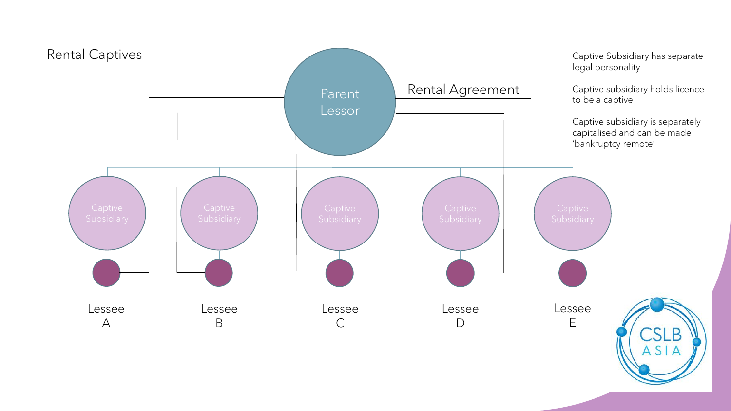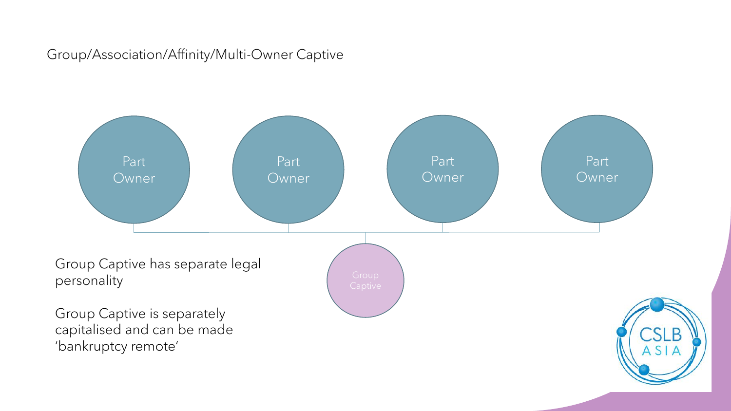Group/Association/Affinity/Multi-Owner Captive